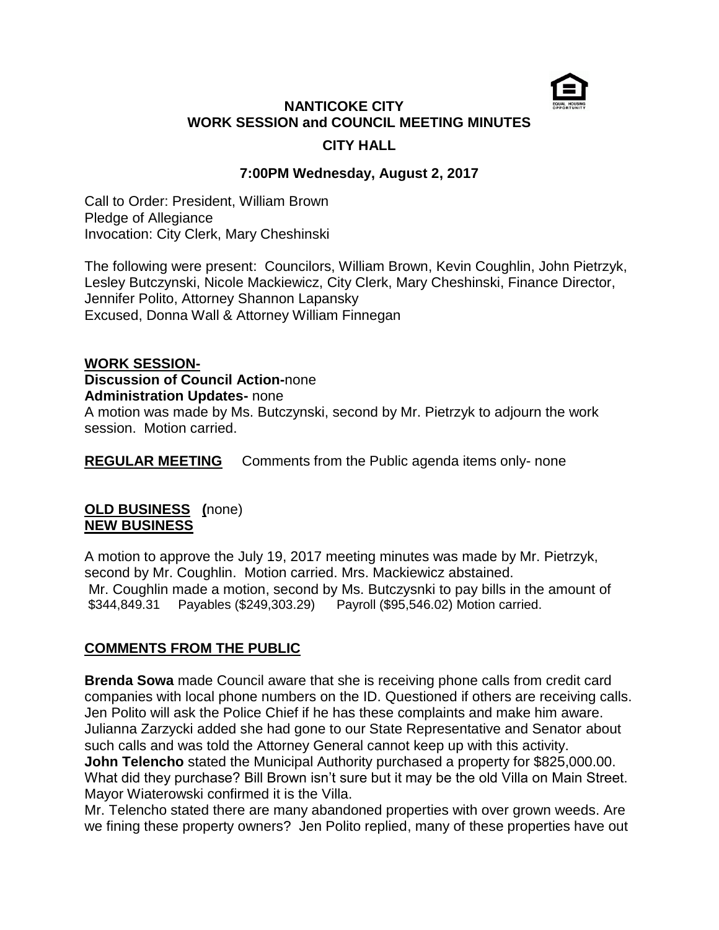# **NANTICOKE CITY WORK SESSION and COUNCIL MEETING MINUTES CITY HALL**

### **7:00PM Wednesday, August 2, 2017**

Call to Order: President, William Brown Pledge of Allegiance Invocation: City Clerk, Mary Cheshinski

The following were present: Councilors, William Brown, Kevin Coughlin, John Pietrzyk, Lesley Butczynski, Nicole Mackiewicz, City Clerk, Mary Cheshinski, Finance Director, Jennifer Polito, Attorney Shannon Lapansky Excused, Donna Wall & Attorney William Finnegan

#### **WORK SESSION-**

#### **Discussion of Council Action-**none **Administration Updates-** none

A motion was made by Ms. Butczynski, second by Mr. Pietrzyk to adjourn the work session. Motion carried.

**REGULAR MEETING** Comments from the Public agenda items only- none

### **OLD BUSINESS (**none) **NEW BUSINESS**

A motion to approve the July 19, 2017 meeting minutes was made by Mr. Pietrzyk, second by Mr. Coughlin. Motion carried. Mrs. Mackiewicz abstained. Mr. Coughlin made a motion, second by Ms. Butczysnki to pay bills in the amount of \$344,849.31 Payables (\$249,303.29) Payroll (\$95,546.02) Motion carried.

# **COMMENTS FROM THE PUBLIC**

**Brenda Sowa** made Council aware that she is receiving phone calls from credit card companies with local phone numbers on the ID. Questioned if others are receiving calls. Jen Polito will ask the Police Chief if he has these complaints and make him aware. Julianna Zarzycki added she had gone to our State Representative and Senator about such calls and was told the Attorney General cannot keep up with this activity. **John Telencho** stated the Municipal Authority purchased a property for \$825,000.00. What did they purchase? Bill Brown isn't sure but it may be the old Villa on Main Street. Mayor Wiaterowski confirmed it is the Villa.

Mr. Telencho stated there are many abandoned properties with over grown weeds. Are we fining these property owners? Jen Polito replied, many of these properties have out